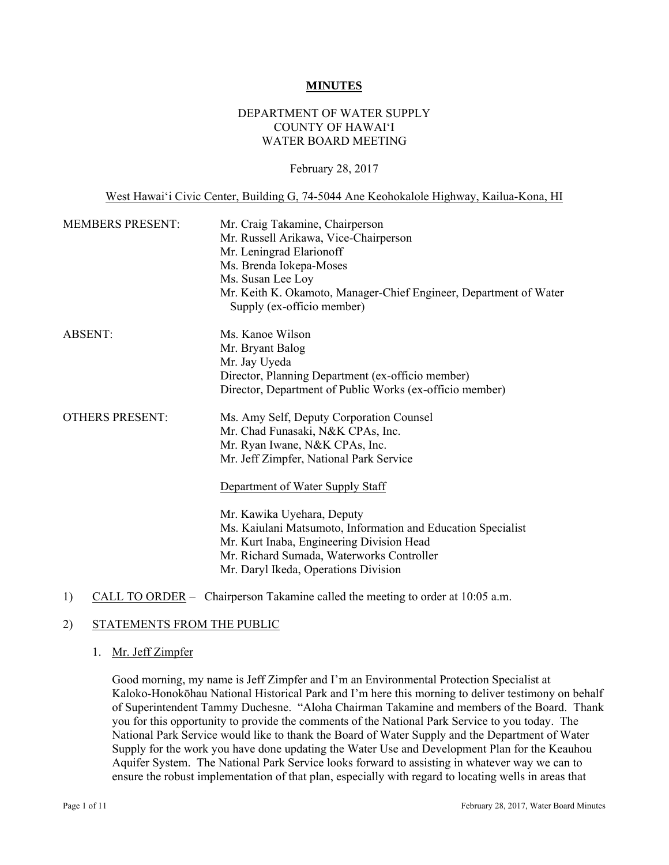#### **MINUTES**

# DEPARTMENT OF WATER SUPPLY COUNTY OF HAWAI'I WATER BOARD MEETING

#### February 28, 2017

West Hawai'i Civic Center, Building G, 74-5044 Ane Keohokalole Highway, Kailua-Kona, HI

| <b>MEMBERS PRESENT:</b> | Mr. Craig Takamine, Chairperson<br>Mr. Russell Arikawa, Vice-Chairperson<br>Mr. Leningrad Elarionoff<br>Ms. Brenda Iokepa-Moses<br>Ms. Susan Lee Loy<br>Mr. Keith K. Okamoto, Manager-Chief Engineer, Department of Water<br>Supply (ex-officio member)                                                                                                                                                                        |  |
|-------------------------|--------------------------------------------------------------------------------------------------------------------------------------------------------------------------------------------------------------------------------------------------------------------------------------------------------------------------------------------------------------------------------------------------------------------------------|--|
| <b>ABSENT:</b>          | Ms. Kanoe Wilson<br>Mr. Bryant Balog<br>Mr. Jay Uyeda<br>Director, Planning Department (ex-officio member)<br>Director, Department of Public Works (ex-officio member)                                                                                                                                                                                                                                                         |  |
| <b>OTHERS PRESENT:</b>  | Ms. Amy Self, Deputy Corporation Counsel<br>Mr. Chad Funasaki, N&K CPAs, Inc.<br>Mr. Ryan Iwane, N&K CPAs, Inc.<br>Mr. Jeff Zimpfer, National Park Service<br>Department of Water Supply Staff<br>Mr. Kawika Uyehara, Deputy<br>Ms. Kaiulani Matsumoto, Information and Education Specialist<br>Mr. Kurt Inaba, Engineering Division Head<br>Mr. Richard Sumada, Waterworks Controller<br>Mr. Daryl Ikeda, Operations Division |  |

1) CALL TO ORDER – Chairperson Takamine called the meeting to order at 10:05 a.m.

# 2) STATEMENTS FROM THE PUBLIC

#### 1. Mr. Jeff Zimpfer

Good morning, my name is Jeff Zimpfer and I'm an Environmental Protection Specialist at Kaloko-Honokōhau National Historical Park and I'm here this morning to deliver testimony on behalf of Superintendent Tammy Duchesne. "Aloha Chairman Takamine and members of the Board. Thank you for this opportunity to provide the comments of the National Park Service to you today. The National Park Service would like to thank the Board of Water Supply and the Department of Water Supply for the work you have done updating the Water Use and Development Plan for the Keauhou Aquifer System. The National Park Service looks forward to assisting in whatever way we can to ensure the robust implementation of that plan, especially with regard to locating wells in areas that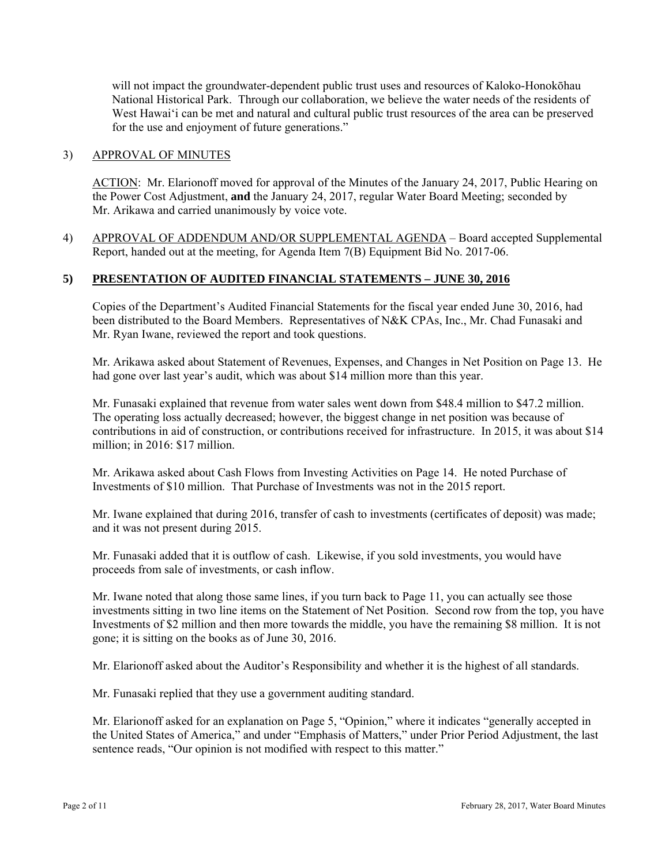will not impact the groundwater-dependent public trust uses and resources of Kaloko-Honokōhau National Historical Park. Through our collaboration, we believe the water needs of the residents of West Hawai'i can be met and natural and cultural public trust resources of the area can be preserved for the use and enjoyment of future generations."

# 3) APPROVAL OF MINUTES

ACTION: Mr. Elarionoff moved for approval of the Minutes of the January 24, 2017, Public Hearing on the Power Cost Adjustment, **and** the January 24, 2017, regular Water Board Meeting; seconded by Mr. Arikawa and carried unanimously by voice vote.

4) APPROVAL OF ADDENDUM AND/OR SUPPLEMENTAL AGENDA – Board accepted Supplemental Report, handed out at the meeting, for Agenda Item 7(B) Equipment Bid No. 2017-06.

# **5) PRESENTATION OF AUDITED FINANCIAL STATEMENTS – JUNE 30, 2016**

Copies of the Department's Audited Financial Statements for the fiscal year ended June 30, 2016, had been distributed to the Board Members. Representatives of N&K CPAs, Inc., Mr. Chad Funasaki and Mr. Ryan Iwane, reviewed the report and took questions.

Mr. Arikawa asked about Statement of Revenues, Expenses, and Changes in Net Position on Page 13. He had gone over last year's audit, which was about \$14 million more than this year.

Mr. Funasaki explained that revenue from water sales went down from \$48.4 million to \$47.2 million. The operating loss actually decreased; however, the biggest change in net position was because of contributions in aid of construction, or contributions received for infrastructure. In 2015, it was about \$14 million; in 2016: \$17 million.

Mr. Arikawa asked about Cash Flows from Investing Activities on Page 14. He noted Purchase of Investments of \$10 million. That Purchase of Investments was not in the 2015 report.

Mr. Iwane explained that during 2016, transfer of cash to investments (certificates of deposit) was made; and it was not present during 2015.

Mr. Funasaki added that it is outflow of cash. Likewise, if you sold investments, you would have proceeds from sale of investments, or cash inflow.

Mr. Iwane noted that along those same lines, if you turn back to Page 11, you can actually see those investments sitting in two line items on the Statement of Net Position. Second row from the top, you have Investments of \$2 million and then more towards the middle, you have the remaining \$8 million. It is not gone; it is sitting on the books as of June 30, 2016.

Mr. Elarionoff asked about the Auditor's Responsibility and whether it is the highest of all standards.

Mr. Funasaki replied that they use a government auditing standard.

Mr. Elarionoff asked for an explanation on Page 5, "Opinion," where it indicates "generally accepted in the United States of America," and under "Emphasis of Matters," under Prior Period Adjustment, the last sentence reads, "Our opinion is not modified with respect to this matter."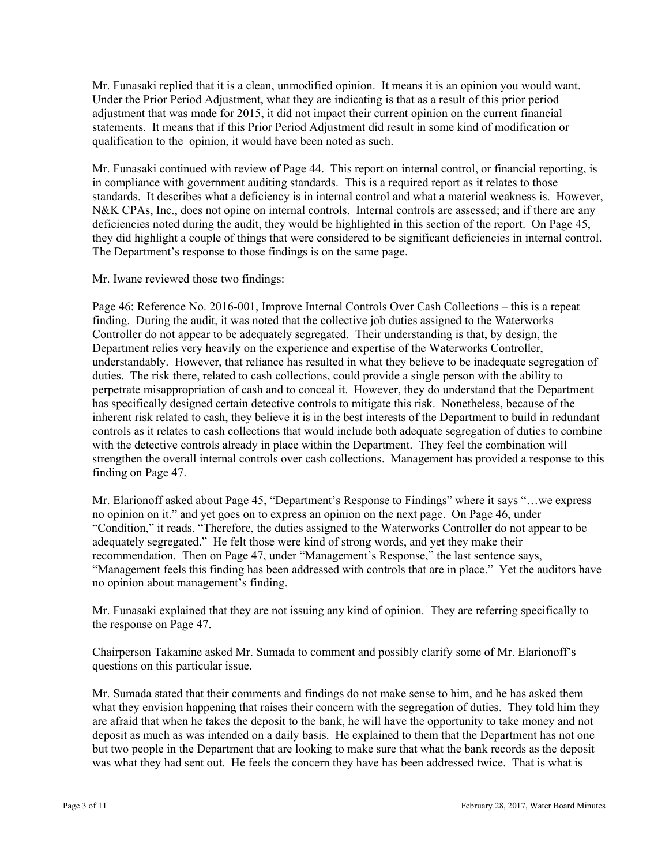Mr. Funasaki replied that it is a clean, unmodified opinion. It means it is an opinion you would want. Under the Prior Period Adjustment, what they are indicating is that as a result of this prior period adjustment that was made for 2015, it did not impact their current opinion on the current financial statements. It means that if this Prior Period Adjustment did result in some kind of modification or qualification to the opinion, it would have been noted as such.

Mr. Funasaki continued with review of Page 44. This report on internal control, or financial reporting, is in compliance with government auditing standards. This is a required report as it relates to those standards. It describes what a deficiency is in internal control and what a material weakness is. However, N&K CPAs, Inc., does not opine on internal controls. Internal controls are assessed; and if there are any deficiencies noted during the audit, they would be highlighted in this section of the report. On Page 45, they did highlight a couple of things that were considered to be significant deficiencies in internal control. The Department's response to those findings is on the same page.

Mr. Iwane reviewed those two findings:

Page 46: Reference No. 2016-001, Improve Internal Controls Over Cash Collections – this is a repeat finding. During the audit, it was noted that the collective job duties assigned to the Waterworks Controller do not appear to be adequately segregated. Their understanding is that, by design, the Department relies very heavily on the experience and expertise of the Waterworks Controller, understandably. However, that reliance has resulted in what they believe to be inadequate segregation of duties. The risk there, related to cash collections, could provide a single person with the ability to perpetrate misappropriation of cash and to conceal it. However, they do understand that the Department has specifically designed certain detective controls to mitigate this risk. Nonetheless, because of the inherent risk related to cash, they believe it is in the best interests of the Department to build in redundant controls as it relates to cash collections that would include both adequate segregation of duties to combine with the detective controls already in place within the Department. They feel the combination will strengthen the overall internal controls over cash collections. Management has provided a response to this finding on Page 47.

no opinion about management's finding. Mr. Elarionoff asked about Page 45, "Department's Response to Findings" where it says "…we express no opinion on it." and yet goes on to express an opinion on the next page. On Page 46, under "Condition," it reads, "Therefore, the duties assigned to the Waterworks Controller do not appear to be adequately segregated." He felt those were kind of strong words, and yet they make their recommendation. Then on Page 47, under "Management's Response," the last sentence says, "Management feels this finding has been addressed with controls that are in place." Yet the auditors have

the response on Page 47. Mr. Funasaki explained that they are not issuing any kind of opinion. They are referring specifically to

Chairperson Takamine asked Mr. Sumada to comment and possibly clarify some of Mr. Elarionoff's questions on this particular issue.

Mr. Sumada stated that their comments and findings do not make sense to him, and he has asked them what they envision happening that raises their concern with the segregation of duties. They told him they are afraid that when he takes the deposit to the bank, he will have the opportunity to take money and not deposit as much as was intended on a daily basis. He explained to them that the Department has not one but two people in the Department that are looking to make sure that what the bank records as the deposit was what they had sent out. He feels the concern they have has been addressed twice. That is what is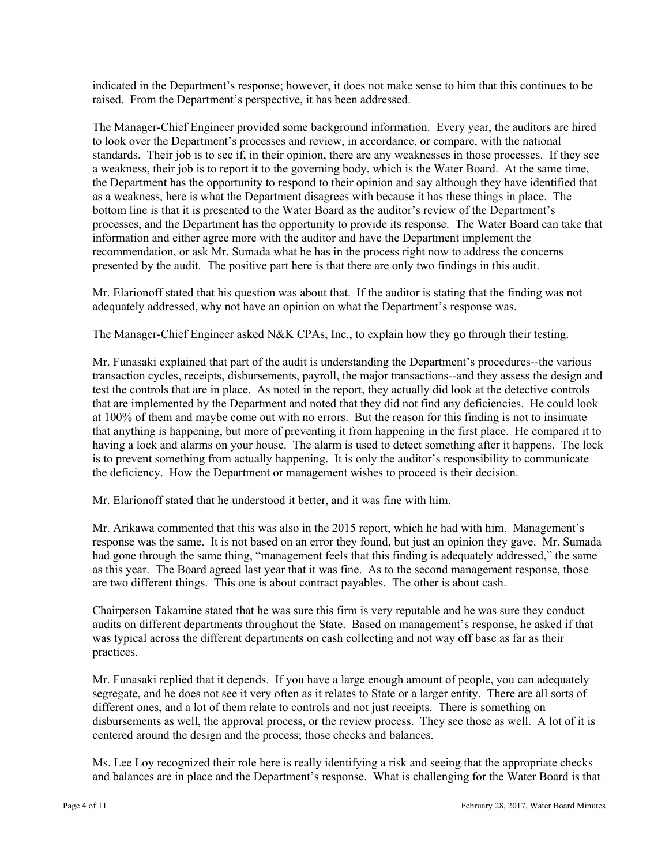indicated in the Department's response; however, it does not make sense to him that this continues to be raised. From the Department's perspective, it has been addressed.

The Manager-Chief Engineer provided some background information. Every year, the auditors are hired to look over the Department's processes and review, in accordance, or compare, with the national standards. Their job is to see if, in their opinion, there are any weaknesses in those processes. If they see a weakness, their job is to report it to the governing body, which is the Water Board. At the same time, the Department has the opportunity to respond to their opinion and say although they have identified that as a weakness, here is what the Department disagrees with because it has these things in place. The bottom line is that it is presented to the Water Board as the auditor's review of the Department's processes, and the Department has the opportunity to provide its response. The Water Board can take that information and either agree more with the auditor and have the Department implement the recommendation, or ask Mr. Sumada what he has in the process right now to address the concerns presented by the audit. The positive part here is that there are only two findings in this audit.

Mr. Elarionoff stated that his question was about that. If the auditor is stating that the finding was not adequately addressed, why not have an opinion on what the Department's response was.

The Manager-Chief Engineer asked N&K CPAs, Inc., to explain how they go through their testing.

Mr. Funasaki explained that part of the audit is understanding the Department's procedures--the various transaction cycles, receipts, disbursements, payroll, the major transactions--and they assess the design and test the controls that are in place. As noted in the report, they actually did look at the detective controls that are implemented by the Department and noted that they did not find any deficiencies. He could look at 100% of them and maybe come out with no errors. But the reason for this finding is not to insinuate that anything is happening, but more of preventing it from happening in the first place. He compared it to having a lock and alarms on your house. The alarm is used to detect something after it happens. The lock is to prevent something from actually happening. It is only the auditor's responsibility to communicate the deficiency. How the Department or management wishes to proceed is their decision.

Mr. Elarionoff stated that he understood it better, and it was fine with him.

Mr. Arikawa commented that this was also in the 2015 report, which he had with him. Management's response was the same. It is not based on an error they found, but just an opinion they gave. Mr. Sumada had gone through the same thing, "management feels that this finding is adequately addressed," the same as this year. The Board agreed last year that it was fine. As to the second management response, those are two different things. This one is about contract payables. The other is about cash.

Chairperson Takamine stated that he was sure this firm is very reputable and he was sure they conduct audits on different departments throughout the State. Based on management's response, he asked if that was typical across the different departments on cash collecting and not way off base as far as their practices.

Mr. Funasaki replied that it depends. If you have a large enough amount of people, you can adequately segregate, and he does not see it very often as it relates to State or a larger entity. There are all sorts of different ones, and a lot of them relate to controls and not just receipts. There is something on disbursements as well, the approval process, or the review process. They see those as well. A lot of it is centered around the design and the process; those checks and balances.

Ms. Lee Loy recognized their role here is really identifying a risk and seeing that the appropriate checks and balances are in place and the Department's response. What is challenging for the Water Board is that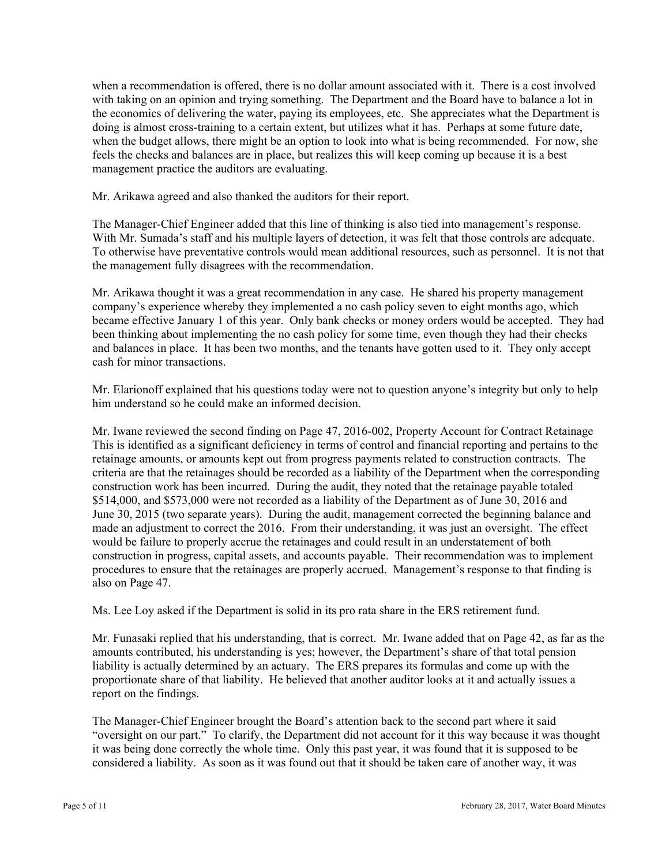when a recommendation is offered, there is no dollar amount associated with it. There is a cost involved with taking on an opinion and trying something. The Department and the Board have to balance a lot in the economics of delivering the water, paying its employees, etc. She appreciates what the Department is doing is almost cross-training to a certain extent, but utilizes what it has. Perhaps at some future date, when the budget allows, there might be an option to look into what is being recommended. For now, she feels the checks and balances are in place, but realizes this will keep coming up because it is a best management practice the auditors are evaluating.

Mr. Arikawa agreed and also thanked the auditors for their report.

The Manager-Chief Engineer added that this line of thinking is also tied into management's response. With Mr. Sumada's staff and his multiple layers of detection, it was felt that those controls are adequate. To otherwise have preventative controls would mean additional resources, such as personnel. It is not that the management fully disagrees with the recommendation.

Mr. Arikawa thought it was a great recommendation in any case. He shared his property management company's experience whereby they implemented a no cash policy seven to eight months ago, which became effective January 1 of this year. Only bank checks or money orders would be accepted. They had been thinking about implementing the no cash policy for some time, even though they had their checks and balances in place. It has been two months, and the tenants have gotten used to it. They only accept cash for minor transactions.

Mr. Elarionoff explained that his questions today were not to question anyone's integrity but only to help him understand so he could make an informed decision.

Mr. Iwane reviewed the second finding on Page 47, 2016-002, Property Account for Contract Retainage This is identified as a significant deficiency in terms of control and financial reporting and pertains to the retainage amounts, or amounts kept out from progress payments related to construction contracts. The criteria are that the retainages should be recorded as a liability of the Department when the corresponding construction work has been incurred. During the audit, they noted that the retainage payable totaled \$514,000, and \$573,000 were not recorded as a liability of the Department as of June 30, 2016 and June 30, 2015 (two separate years). During the audit, management corrected the beginning balance and made an adjustment to correct the 2016. From their understanding, it was just an oversight. The effect would be failure to properly accrue the retainages and could result in an understatement of both construction in progress, capital assets, and accounts payable. Their recommendation was to implement procedures to ensure that the retainages are properly accrued. Management's response to that finding is also on Page 47.

Ms. Lee Loy asked if the Department is solid in its pro rata share in the ERS retirement fund.

Mr. Funasaki replied that his understanding, that is correct. Mr. Iwane added that on Page 42, as far as the amounts contributed, his understanding is yes; however, the Department's share of that total pension liability is actually determined by an actuary. The ERS prepares its formulas and come up with the proportionate share of that liability. He believed that another auditor looks at it and actually issues a report on the findings.

The Manager-Chief Engineer brought the Board's attention back to the second part where it said "oversight on our part." To clarify, the Department did not account for it this way because it was thought it was being done correctly the whole time. Only this past year, it was found that it is supposed to be considered a liability. As soon as it was found out that it should be taken care of another way, it was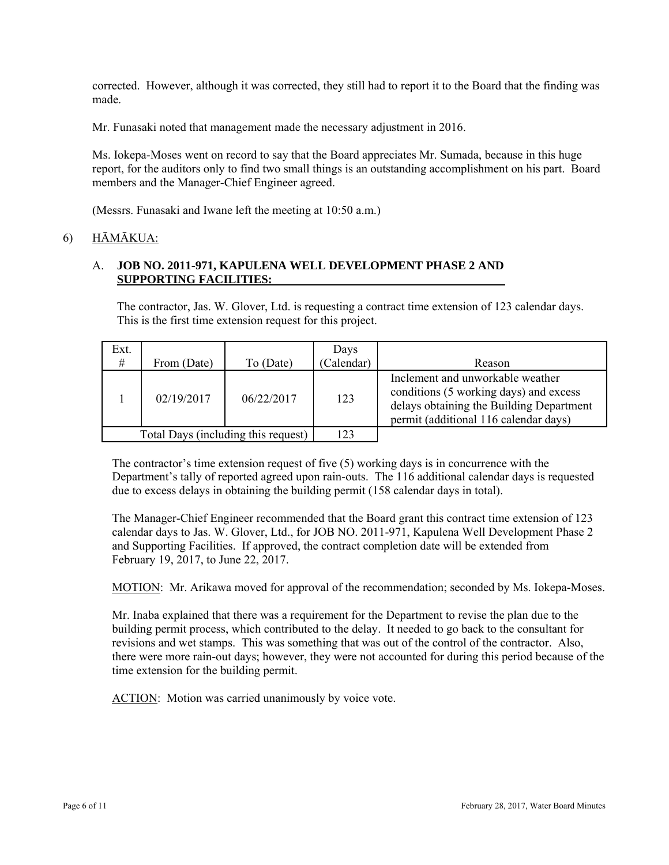corrected. However, although it was corrected, they still had to report it to the Board that the finding was made.

Mr. Funasaki noted that management made the necessary adjustment in 2016.

Ms. Iokepa-Moses went on record to say that the Board appreciates Mr. Sumada, because in this huge report, for the auditors only to find two small things is an outstanding accomplishment on his part. Board members and the Manager-Chief Engineer agreed.

(Messrs. Funasaki and Iwane left the meeting at 10:50 a.m.)

# 6) HĀMĀKUA:

# A. **JOB NO. 2011-971, KAPULENA WELL DEVELOPMENT PHASE 2 AND SUPPORTING FACILITIES:**

The contractor, Jas. W. Glover, Ltd. is requesting a contract time extension of 123 calendar days. This is the first time extension request for this project.

| Ext.<br>#                           | From (Date) | To (Date)  | Days<br>(Calendar) | Reason                                                                                                                                                          |
|-------------------------------------|-------------|------------|--------------------|-----------------------------------------------------------------------------------------------------------------------------------------------------------------|
|                                     | 02/19/2017  | 06/22/2017 | 123                | Inclement and unworkable weather<br>conditions (5 working days) and excess<br>delays obtaining the Building Department<br>permit (additional 116 calendar days) |
| Total Days (including this request) |             | 123        |                    |                                                                                                                                                                 |

The contractor's time extension request of five  $(5)$  working days is in concurrence with the Department's tally of reported agreed upon rain-outs. The 116 additional calendar days is requested due to excess delays in obtaining the building permit (158 calendar days in total).

The Manager-Chief Engineer recommended that the Board grant this contract time extension of 123 calendar days to Jas. W. Glover, Ltd., for JOB NO. 2011-971, Kapulena Well Development Phase 2 and Supporting Facilities. If approved, the contract completion date will be extended from February 19, 2017, to June 22, 2017.

MOTION: Mr. Arikawa moved for approval of the recommendation; seconded by Ms. Iokepa-Moses.

Mr. Inaba explained that there was a requirement for the Department to revise the plan due to the building permit process, which contributed to the delay. It needed to go back to the consultant for revisions and wet stamps. This was something that was out of the control of the contractor. Also, there were more rain-out days; however, they were not accounted for during this period because of the time extension for the building permit.

ACTION: Motion was carried unanimously by voice vote.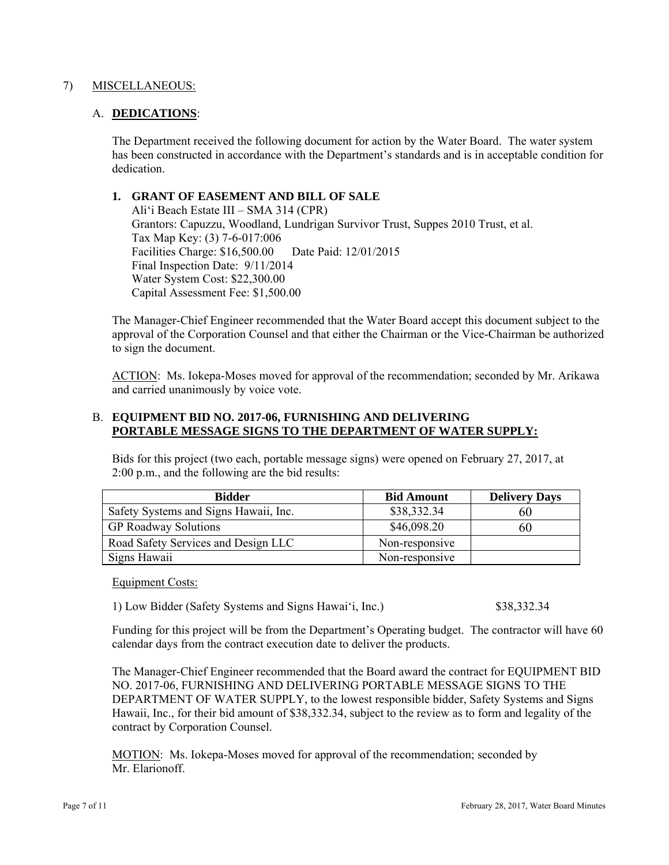### 7) MISCELLANEOUS:

### A. **DEDICATIONS**:

The Department received the following document for action by the Water Board. The water system has been constructed in accordance with the Department's standards and is in acceptable condition for dedication.

### **1. GRANT OF EASEMENT AND BILL OF SALE**

Ali'i Beach Estate III – SMA 314 (CPR) Grantors: Capuzzu, Woodland, Lundrigan Survivor Trust, Suppes 2010 Trust, et al. Tax Map Key: (3) 7-6-017:006 Facilities Charge: \$16,500.00 Date Paid: 12/01/2015 Final Inspection Date: 9/11/2014 Water System Cost: \$22,300.00 Capital Assessment Fee: \$1,500.00

The Manager-Chief Engineer recommended that the Water Board accept this document subject to the approval of the Corporation Counsel and that either the Chairman or the Vice-Chairman be authorized to sign the document.

ACTION: Ms. Iokepa-Moses moved for approval of the recommendation; seconded by Mr. Arikawa and carried unanimously by voice vote.

#### B. **EQUIPMENT BID NO. 2017-06, FURNISHING AND DELIVERING PORTABLE MESSAGE SIGNS TO THE DEPARTMENT OF WATER SUPPLY:**

**Bidder Bid Amount Delivery Days**  Safety Systems and Signs Hawaii, Inc.  $\begin{array}{|l} \hline \text{838,332.34} \end{array}$  60 GP Roadway Solutions \$46,098.20 60 Road Safety Services and Design LLC Non-responsive Signs Hawaii Non-responsive

Bids for this project (two each, portable message signs) were opened on February 27, 2017, at

Equipment Costs:

1) Low Bidder (Safety Systems and Signs Hawai'i, Inc.) \$38,332.34

2:00 p.m., and the following are the bid results:

Funding for this project will be from the Department's Operating budget. The contractor will have 60 calendar days from the contract execution date to deliver the products.

The Manager-Chief Engineer recommended that the Board award the contract for EQUIPMENT BID NO. 2017-06, FURNISHING AND DELIVERING PORTABLE MESSAGE SIGNS TO THE DEPARTMENT OF WATER SUPPLY, to the lowest responsible bidder, Safety Systems and Signs Hawaii, Inc., for their bid amount of \$38,332.34, subject to the review as to form and legality of the contract by Corporation Counsel.

MOTION: Ms. Iokepa-Moses moved for approval of the recommendation; seconded by Mr. Elarionoff.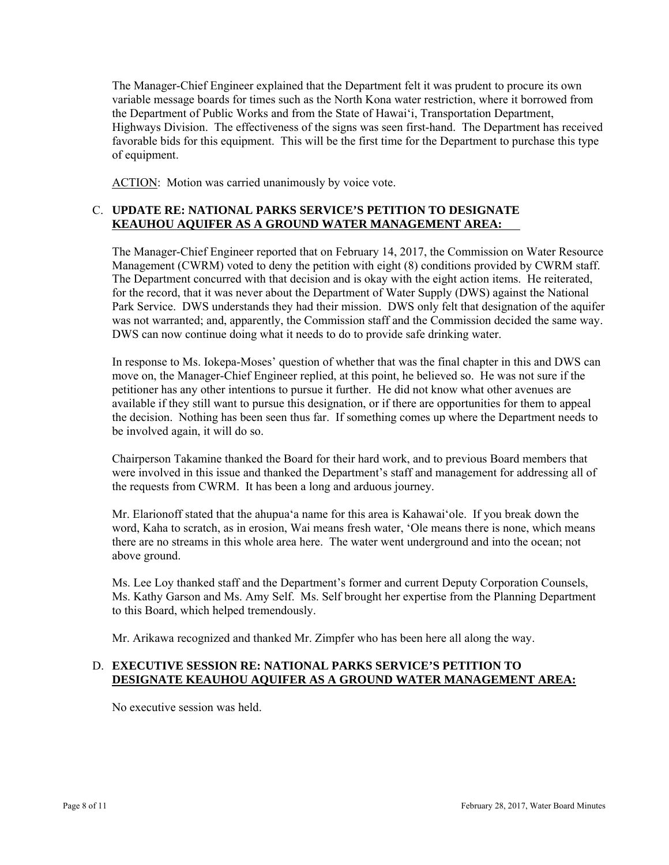The Manager-Chief Engineer explained that the Department felt it was prudent to procure its own variable message boards for times such as the North Kona water restriction, where it borrowed from the Department of Public Works and from the State of Hawai'i, Transportation Department, Highways Division. The effectiveness of the signs was seen first-hand. The Department has received favorable bids for this equipment. This will be the first time for the Department to purchase this type of equipment.

ACTION: Motion was carried unanimously by voice vote.

# C. **UPDATE RE: NATIONAL PARKS SERVICE'S PETITION TO DESIGNATE KEAUHOU AQUIFER AS A GROUND WATER MANAGEMENT AREA:**

 was not warranted; and, apparently, the Commission staff and the Commission decided the same way. The Manager-Chief Engineer reported that on February 14, 2017, the Commission on Water Resource Management (CWRM) voted to deny the petition with eight (8) conditions provided by CWRM staff. The Department concurred with that decision and is okay with the eight action items. He reiterated, for the record, that it was never about the Department of Water Supply (DWS) against the National Park Service. DWS understands they had their mission. DWS only felt that designation of the aquifer DWS can now continue doing what it needs to do to provide safe drinking water.

In response to Ms. Iokepa-Moses' question of whether that was the final chapter in this and DWS can move on, the Manager-Chief Engineer replied, at this point, he believed so. He was not sure if the petitioner has any other intentions to pursue it further. He did not know what other avenues are available if they still want to pursue this designation, or if there are opportunities for them to appeal the decision. Nothing has been seen thus far. If something comes up where the Department needs to be involved again, it will do so.

Chairperson Takamine thanked the Board for their hard work, and to previous Board members that were involved in this issue and thanked the Department's staff and management for addressing all of the requests from CWRM. It has been a long and arduous journey.

Mr. Elarionoff stated that the ahupua'a name for this area is Kahawai'ole. If you break down the word, Kaha to scratch, as in erosion, Wai means fresh water, 'Ole means there is none, which means there are no streams in this whole area here. The water went underground and into the ocean; not above ground.

Ms. Lee Loy thanked staff and the Department's former and current Deputy Corporation Counsels, Ms. Kathy Garson and Ms. Amy Self. Ms. Self brought her expertise from the Planning Department to this Board, which helped tremendously.

Mr. Arikawa recognized and thanked Mr. Zimpfer who has been here all along the way.

# D. **EXECUTIVE SESSION RE: NATIONAL PARKS SERVICE'S PETITION TO DESIGNATE KEAUHOU AQUIFER AS A GROUND WATER MANAGEMENT AREA:**

No executive session was held.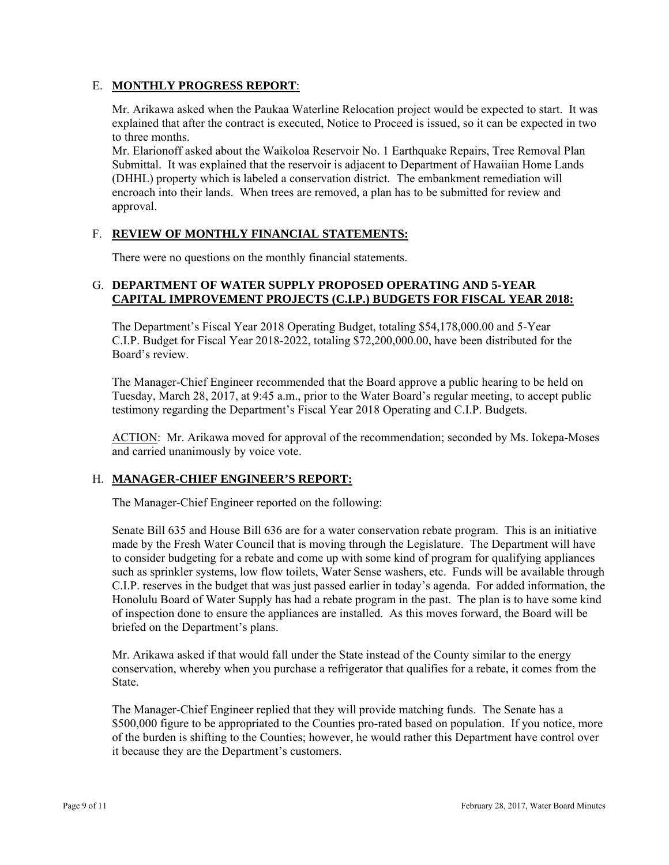# E. **MONTHLY PROGRESS REPORT**:

Mr. Arikawa asked when the Paukaa Waterline Relocation project would be expected to start. It was explained that after the contract is executed, Notice to Proceed is issued, so it can be expected in two to three months.

Mr. Elarionoff asked about the Waikoloa Reservoir No. 1 Earthquake Repairs, Tree Removal Plan Submittal. It was explained that the reservoir is adjacent to Department of Hawaiian Home Lands (DHHL) property which is labeled a conservation district. The embankment remediation will encroach into their lands. When trees are removed, a plan has to be submitted for review and approval.

# F. **REVIEW OF MONTHLY FINANCIAL STATEMENTS:**

There were no questions on the monthly financial statements.

# G. **DEPARTMENT OF WATER SUPPLY PROPOSED OPERATING AND 5-YEAR CAPITAL IMPROVEMENT PROJECTS (C.I.P.) BUDGETS FOR FISCAL YEAR 2018:**

The Department's Fiscal Year 2018 Operating Budget, totaling \$54,178,000.00 and 5-Year C.I.P. Budget for Fiscal Year 2018-2022, totaling \$72,200,000.00, have been distributed for the Board's review.

The Manager-Chief Engineer recommended that the Board approve a public hearing to be held on Tuesday, March 28, 2017, at 9:45 a.m., prior to the Water Board's regular meeting, to accept public testimony regarding the Department's Fiscal Year 2018 Operating and C.I.P. Budgets.

ACTION: Mr. Arikawa moved for approval of the recommendation; seconded by Ms. Iokepa-Moses and carried unanimously by voice vote.

# H. **MANAGER-CHIEF ENGINEER'S REPORT:**

The Manager-Chief Engineer reported on the following:

Senate Bill 635 and House Bill 636 are for a water conservation rebate program. This is an initiative made by the Fresh Water Council that is moving through the Legislature. The Department will have to consider budgeting for a rebate and come up with some kind of program for qualifying appliances such as sprinkler systems, low flow toilets, Water Sense washers, etc. Funds will be available through C.I.P. reserves in the budget that was just passed earlier in today's agenda. For added information, the Honolulu Board of Water Supply has had a rebate program in the past. The plan is to have some kind of inspection done to ensure the appliances are installed. As this moves forward, the Board will be briefed on the Department's plans.

Mr. Arikawa asked if that would fall under the State instead of the County similar to the energy conservation, whereby when you purchase a refrigerator that qualifies for a rebate, it comes from the State.

The Manager-Chief Engineer replied that they will provide matching funds. The Senate has a \$500,000 figure to be appropriated to the Counties pro-rated based on population. If you notice, more of the burden is shifting to the Counties; however, he would rather this Department have control over it because they are the Department's customers.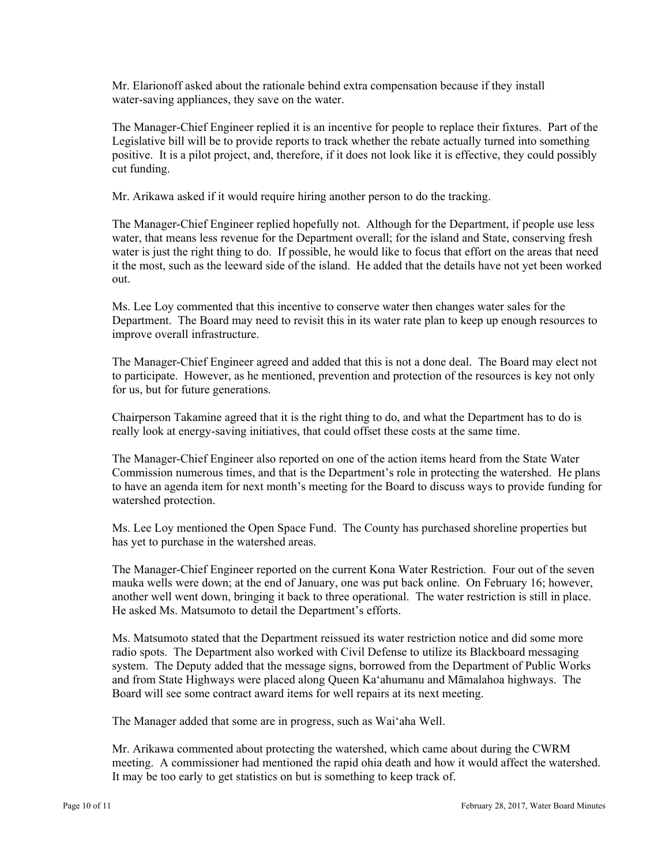Mr. Elarionoff asked about the rationale behind extra compensation because if they install water-saving appliances, they save on the water.

The Manager-Chief Engineer replied it is an incentive for people to replace their fixtures. Part of the Legislative bill will be to provide reports to track whether the rebate actually turned into something positive. It is a pilot project, and, therefore, if it does not look like it is effective, they could possibly cut funding.

Mr. Arikawa asked if it would require hiring another person to do the tracking.

The Manager-Chief Engineer replied hopefully not. Although for the Department, if people use less water, that means less revenue for the Department overall; for the island and State, conserving fresh water is just the right thing to do. If possible, he would like to focus that effort on the areas that need it the most, such as the leeward side of the island. He added that the details have not yet been worked out.

Ms. Lee Loy commented that this incentive to conserve water then changes water sales for the Department. The Board may need to revisit this in its water rate plan to keep up enough resources to improve overall infrastructure.

The Manager-Chief Engineer agreed and added that this is not a done deal. The Board may elect not to participate. However, as he mentioned, prevention and protection of the resources is key not only for us, but for future generations.

Chairperson Takamine agreed that it is the right thing to do, and what the Department has to do is really look at energy-saving initiatives, that could offset these costs at the same time.

The Manager-Chief Engineer also reported on one of the action items heard from the State Water Commission numerous times, and that is the Department's role in protecting the watershed. He plans to have an agenda item for next month's meeting for the Board to discuss ways to provide funding for watershed protection.

Ms. Lee Loy mentioned the Open Space Fund. The County has purchased shoreline properties but has yet to purchase in the watershed areas.

The Manager-Chief Engineer reported on the current Kona Water Restriction. Four out of the seven mauka wells were down; at the end of January, one was put back online. On February 16; however, another well went down, bringing it back to three operational. The water restriction is still in place. He asked Ms. Matsumoto to detail the Department's efforts.

Ms. Matsumoto stated that the Department reissued its water restriction notice and did some more radio spots. The Department also worked with Civil Defense to utilize its Blackboard messaging system. The Deputy added that the message signs, borrowed from the Department of Public Works and from State Highways were placed along Queen Ka'ahumanu and Māmalahoa highways. The Board will see some contract award items for well repairs at its next meeting.

The Manager added that some are in progress, such as Wai'aha Well.

Mr. Arikawa commented about protecting the watershed, which came about during the CWRM meeting. A commissioner had mentioned the rapid ohia death and how it would affect the watershed. It may be too early to get statistics on but is something to keep track of.